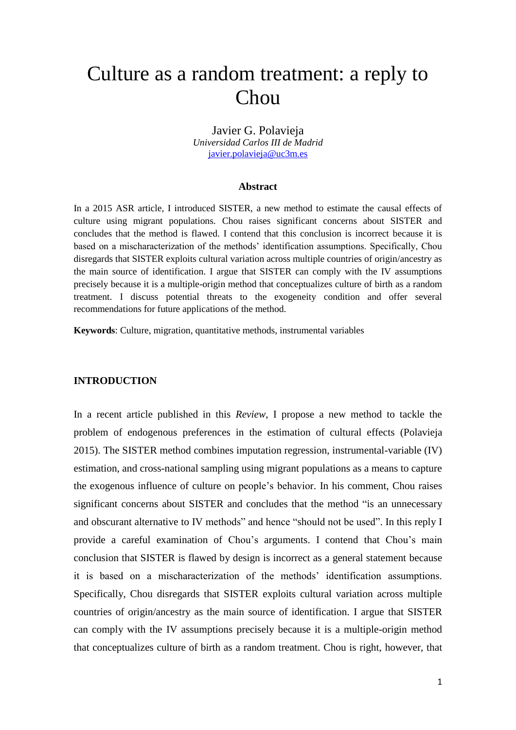# Culture as a random treatment: a reply to Chou

Javier G. Polavieja *Universidad Carlos III de Madrid* [javier.polavieja@uc3m.es](mailto:javier.polavieja@uc3m.es)

### **Abstract**

In a 2015 ASR article, I introduced SISTER, a new method to estimate the causal effects of culture using migrant populations. Chou raises significant concerns about SISTER and concludes that the method is flawed. I contend that this conclusion is incorrect because it is based on a mischaracterization of the methods' identification assumptions. Specifically, Chou disregards that SISTER exploits cultural variation across multiple countries of origin/ancestry as the main source of identification. I argue that SISTER can comply with the IV assumptions precisely because it is a multiple-origin method that conceptualizes culture of birth as a random treatment. I discuss potential threats to the exogeneity condition and offer several recommendations for future applications of the method.

**Keywords**: Culture, migration, quantitative methods, instrumental variables

#### **INTRODUCTION**

In a recent article published in this *Review*, I propose a new method to tackle the problem of endogenous preferences in the estimation of cultural effects (Polavieja 2015). The SISTER method combines imputation regression, instrumental-variable (IV) estimation, and cross-national sampling using migrant populations as a means to capture the exogenous influence of culture on people's behavior. In his comment, Chou raises significant concerns about SISTER and concludes that the method "is an unnecessary and obscurant alternative to IV methods" and hence "should not be used". In this reply I provide a careful examination of Chou's arguments. I contend that Chou's main conclusion that SISTER is flawed by design is incorrect as a general statement because it is based on a mischaracterization of the methods' identification assumptions. Specifically, Chou disregards that SISTER exploits cultural variation across multiple countries of origin/ancestry as the main source of identification. I argue that SISTER can comply with the IV assumptions precisely because it is a multiple-origin method that conceptualizes culture of birth as a random treatment. Chou is right, however, that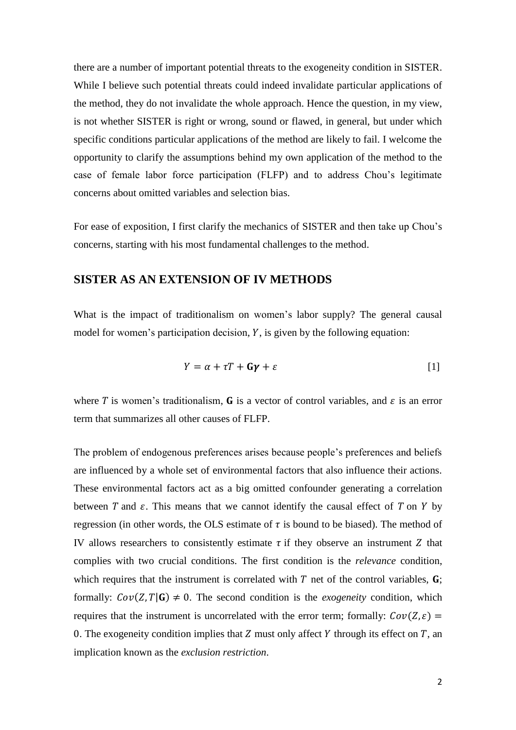there are a number of important potential threats to the exogeneity condition in SISTER. While I believe such potential threats could indeed invalidate particular applications of the method, they do not invalidate the whole approach. Hence the question, in my view, is not whether SISTER is right or wrong, sound or flawed, in general, but under which specific conditions particular applications of the method are likely to fail. I welcome the opportunity to clarify the assumptions behind my own application of the method to the case of female labor force participation (FLFP) and to address Chou's legitimate concerns about omitted variables and selection bias.

For ease of exposition, I first clarify the mechanics of SISTER and then take up Chou's concerns, starting with his most fundamental challenges to the method.

## **SISTER AS AN EXTENSION OF IV METHODS**

What is the impact of traditionalism on women's labor supply? The general causal model for women's participation decision,  $Y$ , is given by the following equation:

$$
Y = \alpha + \tau T + \mathbf{G}\gamma + \varepsilon \tag{1}
$$

where T is women's traditionalism, **G** is a vector of control variables, and  $\varepsilon$  is an error term that summarizes all other causes of FLFP.

The problem of endogenous preferences arises because people's preferences and beliefs are influenced by a whole set of environmental factors that also influence their actions. These environmental factors act as a big omitted confounder generating a correlation between  $T$  and  $\varepsilon$ . This means that we cannot identify the causal effect of  $T$  on  $Y$  by regression (in other words, the OLS estimate of  $\tau$  is bound to be biased). The method of IV allows researchers to consistently estimate  $\tau$  if they observe an instrument Z that complies with two crucial conditions. The first condition is the *relevance* condition, which requires that the instrument is correlated with  $T$  net of the control variables,  $\bf{G}$ ; formally:  $Cov(Z, T | G) \neq 0$ . The second condition is the *exogeneity* condition, which requires that the instrument is uncorrelated with the error term; formally:  $Cov(Z, \varepsilon)$  = 0. The exogeneity condition implies that  $Z$  must only affect  $Y$  through its effect on  $T$ , an implication known as the *exclusion restriction*.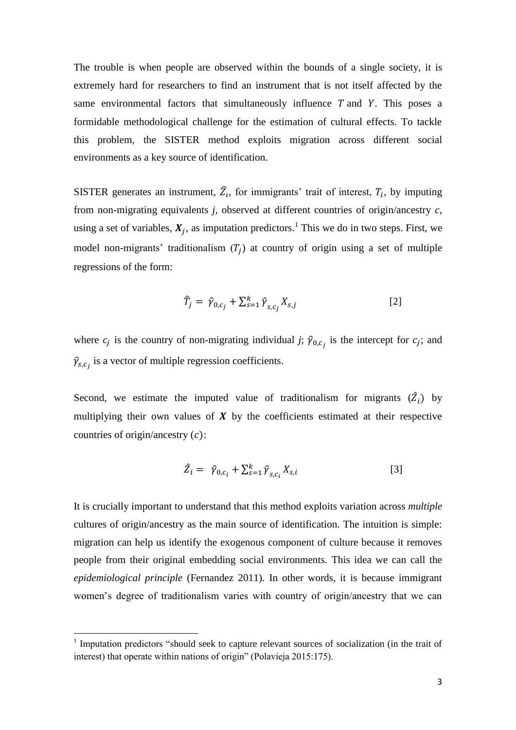The trouble is when people are observed within the bounds of a single society, it is extremely hard for researchers to find an instrument that is not itself affected by the same environmental factors that simultaneously influence  $T$  and  $Y$ . This poses a formidable methodological challenge for the estimation of cultural effects. To tackle this problem, the SISTER method exploits migration across different social environments as a key source of identification.

SISTER generates an instrument,  $\widehat{Z}_t$ , for immigrants' trait of interest,  $T_i$ , by imputing from non-migrating equivalents *j*, observed at different countries of origin/ancestry *c*, using a set of variables,  $X_j$ , as imputation predictors.<sup>1</sup> This we do in two steps. First, we model non-migrants' traditionalism  $(T_j)$  at country of origin using a set of multiple regressions of the form:

$$
\widehat{T}_j = \widehat{\gamma}_{0,c_j} + \sum_{s=1}^k \widehat{\gamma}_{s,c_j} X_{s,j} \tag{2}
$$

where  $c_j$  is the country of non-migrating individual *j*;  $\hat{\gamma}_{0,c_j}$  is the intercept for  $c_j$ ; and  $\hat{\gamma}_{s,c_j}$  is a vector of multiple regression coefficients.

Second, we estimate the imputed value of traditionalism for migrants  $(\hat{Z}_i)$  by multiplying their own values of  $\boldsymbol{X}$  by the coefficients estimated at their respective countries of origin/ancestry  $(c)$ :

$$
\hat{Z}_i = \hat{\gamma}_{0,c_i} + \sum_{s=1}^k \hat{\gamma}_{s,c_i} X_{s,i} \tag{3}
$$

It is crucially important to understand that this method exploits variation across *multiple* cultures of origin/ancestry as the main source of identification. The intuition is simple: migration can help us identify the exogenous component of culture because it removes people from their original embedding social environments. This idea we can call the *epidemiological principle* (Fernandez 2011). In other words, it is because immigrant women's degree of traditionalism varies with country of origin/ancestry that we can

**.** 

<sup>&</sup>lt;sup>1</sup> Imputation predictors "should seek to capture relevant sources of socialization (in the trait of interest) that operate within nations of origin" (Polavieja 2015:175).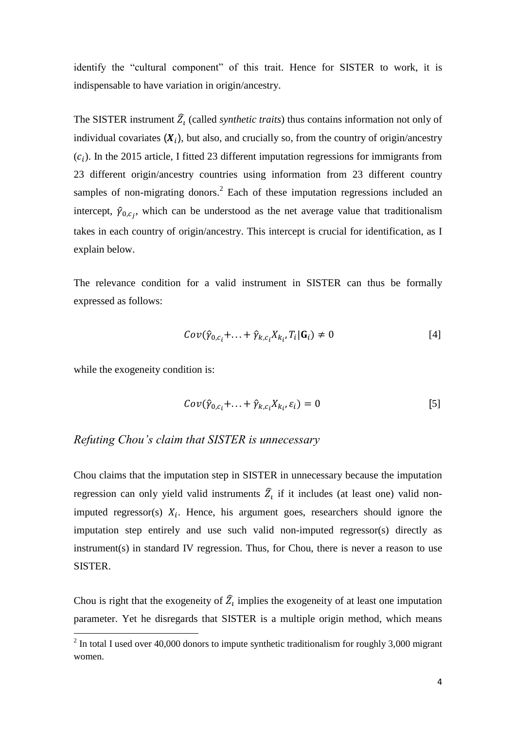identify the "cultural component" of this trait. Hence for SISTER to work, it is indispensable to have variation in origin/ancestry.

The SISTER instrument  $\widehat{Z}_l$  (called *synthetic traits*) thus contains information not only of individual covariates  $(X_i)$ , but also, and crucially so, from the country of origin/ancestry  $(c_i)$ . In the 2015 article, I fitted 23 different imputation regressions for immigrants from 23 different origin/ancestry countries using information from 23 different country samples of non-migrating donors.<sup>2</sup> Each of these imputation regressions included an intercept,  $\hat{\gamma}_{0,c_j}$ , which can be understood as the net average value that traditionalism takes in each country of origin/ancestry. This intercept is crucial for identification, as I explain below.

The relevance condition for a valid instrument in SISTER can thus be formally expressed as follows:

$$
Cov(\hat{\gamma}_{0,c_i} + \ldots + \hat{\gamma}_{k,c_i} X_{k_i}, T_i | \mathbf{G}_i) \neq 0
$$
\n<sup>(4]</sup>

while the exogeneity condition is:

$$
Cov(\hat{\gamma}_{0,c_i} + \ldots + \hat{\gamma}_{k,c_i} X_{k_i}, \varepsilon_i) = 0
$$
\n<sup>(5)</sup>

### *Refuting Chou's claim that SISTER is unnecessary*

Chou claims that the imputation step in SISTER in unnecessary because the imputation regression can only yield valid instruments  $\widehat{Z}_t$  if it includes (at least one) valid nonimputed regressor(s)  $X_i$ . Hence, his argument goes, researchers should ignore the imputation step entirely and use such valid non-imputed regressor(s) directly as instrument(s) in standard IV regression. Thus, for Chou, there is never a reason to use SISTER.

Chou is right that the exogeneity of  $\hat{Z}_i$  implies the exogeneity of at least one imputation parameter. Yet he disregards that SISTER is a multiple origin method, which means

<sup>&</sup>lt;sup>2</sup> In total I used over 40,000 donors to impute synthetic traditionalism for roughly 3,000 migrant women.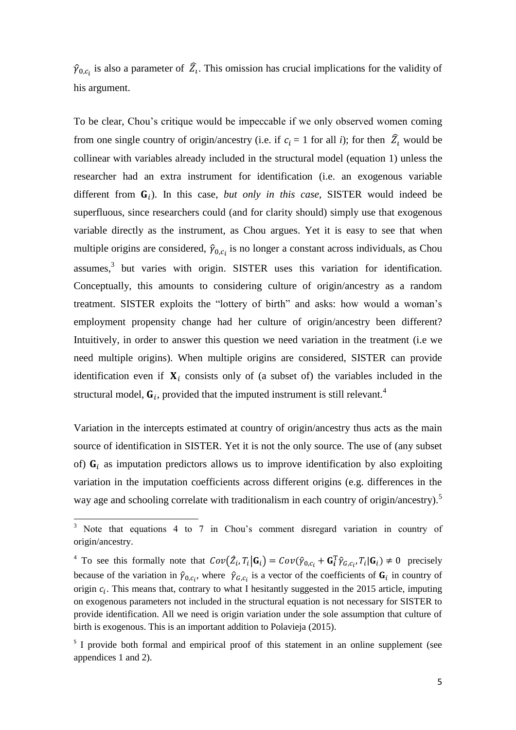$\hat{\gamma}_{0,c_i}$  is also a parameter of  $\hat{Z}_i$ . This omission has crucial implications for the validity of his argument.

To be clear, Chou's critique would be impeccable if we only observed women coming from one single country of origin/ancestry (i.e. if  $c_i = 1$  for all *i*); for then  $\hat{Z}_i$  would be collinear with variables already included in the structural model (equation 1) unless the researcher had an extra instrument for identification (i.e. an exogenous variable different from  $G_i$ ). In this case, *but only in this case*, SISTER would indeed be superfluous, since researchers could (and for clarity should) simply use that exogenous variable directly as the instrument, as Chou argues. Yet it is easy to see that when multiple origins are considered,  $\hat{\gamma}_{0,c_i}$  is no longer a constant across individuals, as Chou assumes,<sup>3</sup> but varies with origin. SISTER uses this variation for identification. Conceptually, this amounts to considering culture of origin/ancestry as a random treatment. SISTER exploits the "lottery of birth" and asks: how would a woman's employment propensity change had her culture of origin/ancestry been different? Intuitively, in order to answer this question we need variation in the treatment (i.e we need multiple origins). When multiple origins are considered, SISTER can provide identification even if  $X_i$  consists only of (a subset of) the variables included in the structural model,  $G_i$ , provided that the imputed instrument is still relevant.<sup>4</sup>

Variation in the intercepts estimated at country of origin/ancestry thus acts as the main source of identification in SISTER. Yet it is not the only source. The use of (any subset of)  $G_i$  as imputation predictors allows us to improve identification by also exploiting variation in the imputation coefficients across different origins (e.g. differences in the way age and schooling correlate with traditionalism in each country of origin/ancestry).<sup>5</sup>

**.** 

<sup>&</sup>lt;sup>3</sup> Note that equations 4 to 7 in Chou's comment disregard variation in country of origin/ancestry.

<sup>&</sup>lt;sup>4</sup> To see this formally note that  $Cov(\hat{Z}_i, T_i | \mathbf{G}_i) = Cov(\hat{\gamma}_{0, c_i} + \mathbf{G}_i^T \hat{\gamma}_{G, c_i}, T_i | \mathbf{G}_i) \neq 0$  precisely because of the variation in  $\hat{\gamma}_{0,c_i}$ , where  $\hat{\gamma}_{G,c_i}$  is a vector of the coefficients of  $\mathbf{G}_i$  in country of origin  $c_i$ . This means that, contrary to what I hesitantly suggested in the 2015 article, imputing on exogenous parameters not included in the structural equation is not necessary for SISTER to provide identification. All we need is origin variation under the sole assumption that culture of birth is exogenous. This is an important addition to Polavieja (2015).

<sup>&</sup>lt;sup>5</sup> I provide both formal and empirical proof of this statement in an online supplement (see appendices 1 and 2).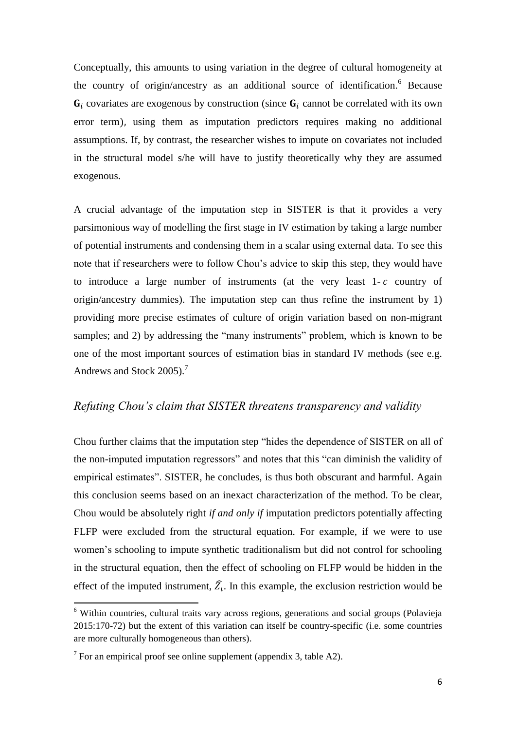Conceptually, this amounts to using variation in the degree of cultural homogeneity at the country of origin/ancestry as an additional source of identification.<sup>6</sup> Because  $G_i$  covariates are exogenous by construction (since  $G_i$  cannot be correlated with its own error term), using them as imputation predictors requires making no additional assumptions. If, by contrast, the researcher wishes to impute on covariates not included in the structural model s/he will have to justify theoretically why they are assumed exogenous.

A crucial advantage of the imputation step in SISTER is that it provides a very parsimonious way of modelling the first stage in IV estimation by taking a large number of potential instruments and condensing them in a scalar using external data. To see this note that if researchers were to follow Chou's advice to skip this step, they would have to introduce a large number of instruments (at the very least  $1-c$  country of origin/ancestry dummies). The imputation step can thus refine the instrument by 1) providing more precise estimates of culture of origin variation based on non-migrant samples; and 2) by addressing the "many instruments" problem, which is known to be one of the most important sources of estimation bias in standard IV methods (see e.g. Andrews and Stock 2005). 7

## *Refuting Chou's claim that SISTER threatens transparency and validity*

Chou further claims that the imputation step "hides the dependence of SISTER on all of the non-imputed imputation regressors" and notes that this "can diminish the validity of empirical estimates". SISTER, he concludes, is thus both obscurant and harmful. Again this conclusion seems based on an inexact characterization of the method. To be clear, Chou would be absolutely right *if and only if* imputation predictors potentially affecting FLFP were excluded from the structural equation. For example, if we were to use women's schooling to impute synthetic traditionalism but did not control for schooling in the structural equation, then the effect of schooling on FLFP would be hidden in the effect of the imputed instrument,  $\hat{Z}_1$ . In this example, the exclusion restriction would be

1

<sup>6</sup> Within countries, cultural traits vary across regions, generations and social groups (Polavieja 2015:170-72) but the extent of this variation can itself be country-specific (i.e. some countries are more culturally homogeneous than others).

 $7$  For an empirical proof see online supplement (appendix 3, table A2).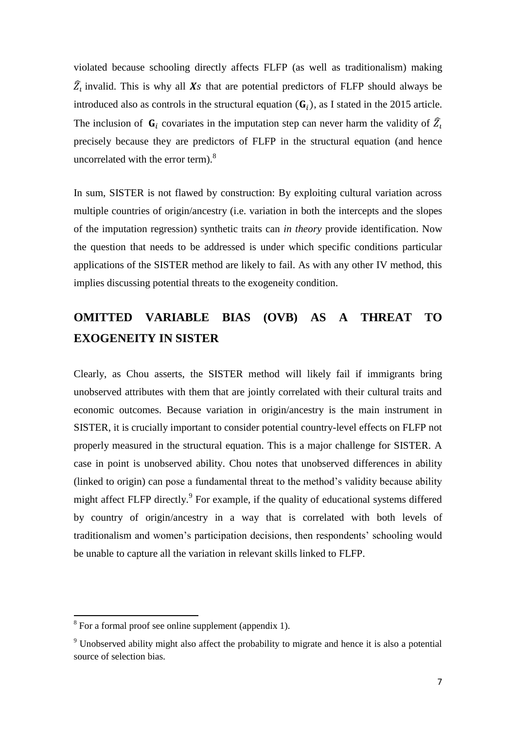violated because schooling directly affects FLFP (as well as traditionalism) making  $\widehat{Z}_t$  invalid. This is why all Xs that are potential predictors of FLFP should always be introduced also as controls in the structural equation  $(G_i)$ , as I stated in the 2015 article. The inclusion of  $G_i$  covariates in the imputation step can never harm the validity of  $\widehat{Z}_i$ precisely because they are predictors of FLFP in the structural equation (and hence uncorrelated with the error term).<sup>8</sup>

In sum, SISTER is not flawed by construction: By exploiting cultural variation across multiple countries of origin/ancestry (i.e. variation in both the intercepts and the slopes of the imputation regression) synthetic traits can *in theory* provide identification. Now the question that needs to be addressed is under which specific conditions particular applications of the SISTER method are likely to fail. As with any other IV method, this implies discussing potential threats to the exogeneity condition.

# **OMITTED VARIABLE BIAS (OVB) AS A THREAT TO EXOGENEITY IN SISTER**

Clearly, as Chou asserts, the SISTER method will likely fail if immigrants bring unobserved attributes with them that are jointly correlated with their cultural traits and economic outcomes. Because variation in origin/ancestry is the main instrument in SISTER, it is crucially important to consider potential country-level effects on FLFP not properly measured in the structural equation. This is a major challenge for SISTER. A case in point is unobserved ability. Chou notes that unobserved differences in ability (linked to origin) can pose a fundamental threat to the method's validity because ability might affect FLFP directly.<sup>9</sup> For example, if the quality of educational systems differed by country of origin/ancestry in a way that is correlated with both levels of traditionalism and women's participation decisions, then respondents' schooling would be unable to capture all the variation in relevant skills linked to FLFP.

<sup>&</sup>lt;sup>8</sup> For a formal proof see online supplement (appendix 1).

<sup>9</sup> Unobserved ability might also affect the probability to migrate and hence it is also a potential source of selection bias.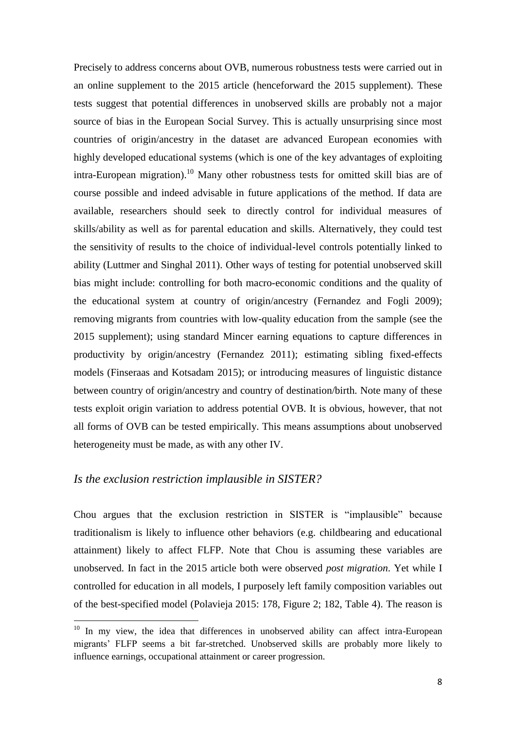Precisely to address concerns about OVB, numerous robustness tests were carried out in an online supplement to the 2015 article (henceforward the 2015 supplement). These tests suggest that potential differences in unobserved skills are probably not a major source of bias in the European Social Survey. This is actually unsurprising since most countries of origin/ancestry in the dataset are advanced European economies with highly developed educational systems (which is one of the key advantages of exploiting intra-European migration).<sup>10</sup> Many other robustness tests for omitted skill bias are of course possible and indeed advisable in future applications of the method. If data are available, researchers should seek to directly control for individual measures of skills/ability as well as for parental education and skills. Alternatively, they could test the sensitivity of results to the choice of individual-level controls potentially linked to ability (Luttmer and Singhal 2011). Other ways of testing for potential unobserved skill bias might include: controlling for both macro-economic conditions and the quality of the educational system at country of origin/ancestry (Fernandez and Fogli 2009); removing migrants from countries with low-quality education from the sample (see the 2015 supplement); using standard Mincer earning equations to capture differences in productivity by origin/ancestry (Fernandez 2011); estimating sibling fixed-effects models (Finseraas and Kotsadam 2015); or introducing measures of linguistic distance between country of origin/ancestry and country of destination/birth. Note many of these tests exploit origin variation to address potential OVB. It is obvious, however, that not all forms of OVB can be tested empirically. This means assumptions about unobserved heterogeneity must be made, as with any other IV.

### *Is the exclusion restriction implausible in SISTER?*

**.** 

Chou argues that the exclusion restriction in SISTER is "implausible" because traditionalism is likely to influence other behaviors (e.g. childbearing and educational attainment) likely to affect FLFP. Note that Chou is assuming these variables are unobserved. In fact in the 2015 article both were observed *post migration*. Yet while I controlled for education in all models, I purposely left family composition variables out of the best-specified model (Polavieja 2015: 178, Figure 2; 182, Table 4). The reason is

<sup>&</sup>lt;sup>10</sup> In my view, the idea that differences in unobserved ability can affect intra-European migrants' FLFP seems a bit far-stretched. Unobserved skills are probably more likely to influence earnings, occupational attainment or career progression.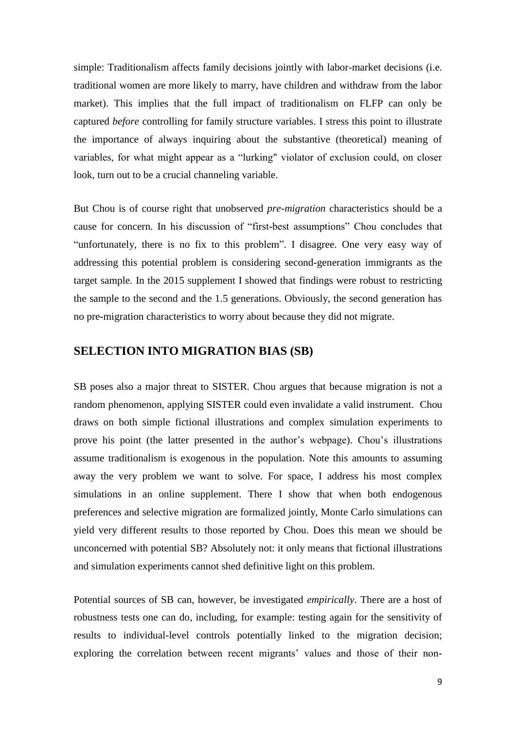simple: Traditionalism affects family decisions jointly with labor-market decisions (i.e. traditional women are more likely to marry, have children and withdraw from the labor market). This implies that the full impact of traditionalism on FLFP can only be captured *before* controlling for family structure variables. I stress this point to illustrate the importance of always inquiring about the substantive (theoretical) meaning of variables, for what might appear as a "lurking" violator of exclusion could, on closer look, turn out to be a crucial channeling variable.

But Chou is of course right that unobserved *pre-migration* characteristics should be a cause for concern. In his discussion of "first-best assumptions" Chou concludes that "unfortunately, there is no fix to this problem". I disagree. One very easy way of addressing this potential problem is considering second-generation immigrants as the target sample. In the 2015 supplement I showed that findings were robust to restricting the sample to the second and the 1.5 generations. Obviously, the second generation has no pre-migration characteristics to worry about because they did not migrate.

### **SELECTION INTO MIGRATION BIAS (SB)**

SB poses also a major threat to SISTER. Chou argues that because migration is not a random phenomenon, applying SISTER could even invalidate a valid instrument. Chou draws on both simple fictional illustrations and complex simulation experiments to prove his point (the latter presented in the author's webpage). Chou's illustrations assume traditionalism is exogenous in the population. Note this amounts to assuming away the very problem we want to solve. For space, I address his most complex simulations in an online supplement. There I show that when both endogenous preferences and selective migration are formalized jointly, Monte Carlo simulations can yield very different results to those reported by Chou. Does this mean we should be unconcerned with potential SB? Absolutely not: it only means that fictional illustrations and simulation experiments cannot shed definitive light on this problem.

Potential sources of SB can, however, be investigated *empirically*. There are a host of robustness tests one can do, including, for example: testing again for the sensitivity of results to individual-level controls potentially linked to the migration decision; exploring the correlation between recent migrants' values and those of their non-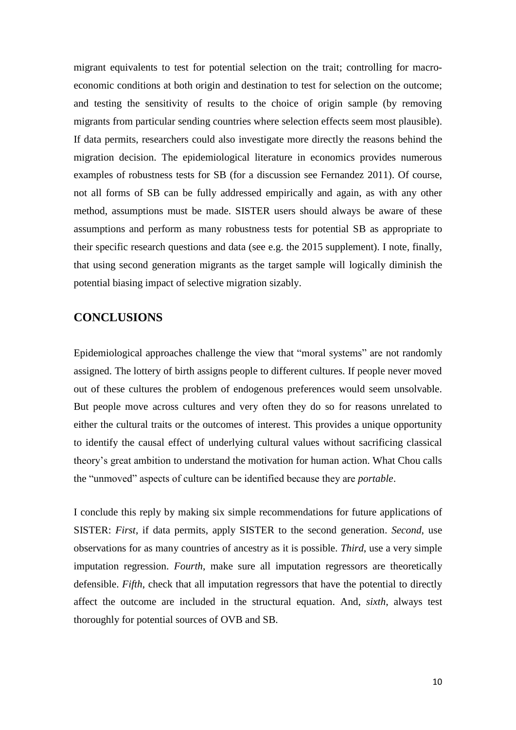migrant equivalents to test for potential selection on the trait; controlling for macroeconomic conditions at both origin and destination to test for selection on the outcome; and testing the sensitivity of results to the choice of origin sample (by removing migrants from particular sending countries where selection effects seem most plausible). If data permits, researchers could also investigate more directly the reasons behind the migration decision. The epidemiological literature in economics provides numerous examples of robustness tests for SB (for a discussion see Fernandez 2011). Of course, not all forms of SB can be fully addressed empirically and again, as with any other method, assumptions must be made. SISTER users should always be aware of these assumptions and perform as many robustness tests for potential SB as appropriate to their specific research questions and data (see e.g. the 2015 supplement). I note, finally, that using second generation migrants as the target sample will logically diminish the potential biasing impact of selective migration sizably.

# **CONCLUSIONS**

Epidemiological approaches challenge the view that "moral systems" are not randomly assigned. The lottery of birth assigns people to different cultures. If people never moved out of these cultures the problem of endogenous preferences would seem unsolvable. But people move across cultures and very often they do so for reasons unrelated to either the cultural traits or the outcomes of interest. This provides a unique opportunity to identify the causal effect of underlying cultural values without sacrificing classical theory's great ambition to understand the motivation for human action. What Chou calls the "unmoved" aspects of culture can be identified because they are *portable*.

I conclude this reply by making six simple recommendations for future applications of SISTER: *First*, if data permits, apply SISTER to the second generation. *Second*, use observations for as many countries of ancestry as it is possible. *Third*, use a very simple imputation regression. *Fourth*, make sure all imputation regressors are theoretically defensible. *Fifth*, check that all imputation regressors that have the potential to directly affect the outcome are included in the structural equation. And, *sixth*, always test thoroughly for potential sources of OVB and SB.